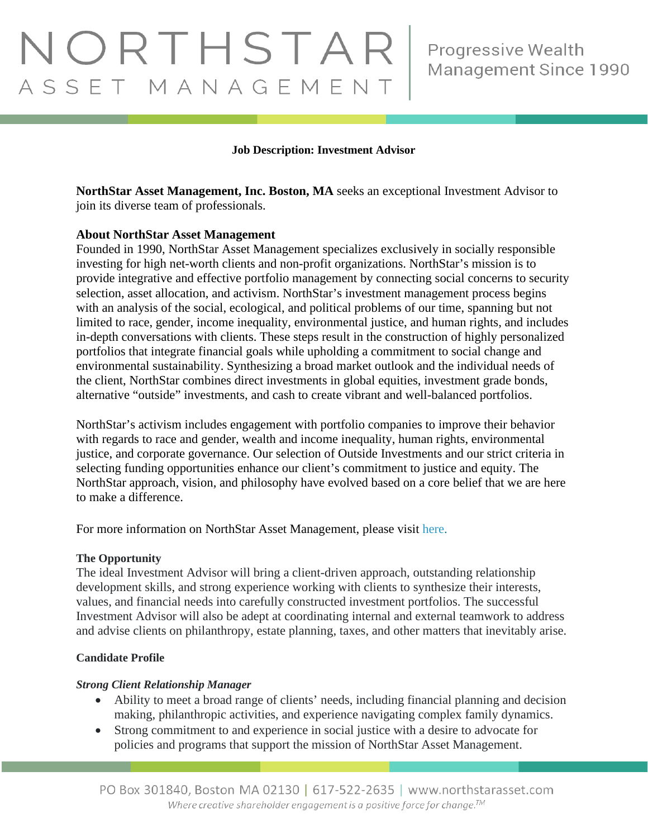# NORTHSTAR ASSET MANAGEMENT

#### **Job Description: Investment Advisor**

**NorthStar Asset Management, Inc. Boston, MA** seeks an exceptional Investment Advisor to join its diverse team of professionals.

#### **About NorthStar Asset Management**

Founded in 1990, NorthStar Asset Management specializes exclusively in socially responsible investing for high net-worth clients and non-profit organizations. NorthStar's mission is to provide integrative and effective portfolio management by connecting social concerns to security selection, asset allocation, and activism. NorthStar's investment management process begins with an analysis of the social, ecological, and political problems of our time, spanning but not limited to race, gender, income inequality, environmental justice, and human rights, and includes in-depth conversations with clients. These steps result in the construction of highly personalized portfolios that integrate financial goals while upholding a commitment to social change and environmental sustainability. Synthesizing a broad market outlook and the individual needs of the client, NorthStar combines direct investments in global equities, investment grade bonds, alternative "outside" investments, and cash to create vibrant and well-balanced portfolios.

NorthStar's activism includes engagement with portfolio companies to improve their behavior with regards to race and gender, wealth and income inequality, human rights, environmental justice, and corporate governance. Our selection of Outside Investments and our strict criteria in selecting funding opportunities enhance our client's commitment to justice and equity. The NorthStar approach, vision, and philosophy have evolved based on a core belief that we are here to make a difference.

For more information on NorthStar Asset Management, please visit [here.](http://www.northstarasset.com/)

#### **The Opportunity**

The ideal Investment Advisor will bring a client-driven approach, outstanding relationship development skills, and strong experience working with clients to synthesize their interests, values, and financial needs into carefully constructed investment portfolios. The successful Investment Advisor will also be adept at coordinating internal and external teamwork to address and advise clients on philanthropy, estate planning, taxes, and other matters that inevitably arise.

#### **Candidate Profile**

#### *Strong Client Relationship Manager*

- Ability to meet a broad range of clients' needs, including financial planning and decision making, philanthropic activities, and experience navigating complex family dynamics.
- Strong commitment to and experience in social justice with a desire to advocate for policies and programs that support the mission of NorthStar Asset Management.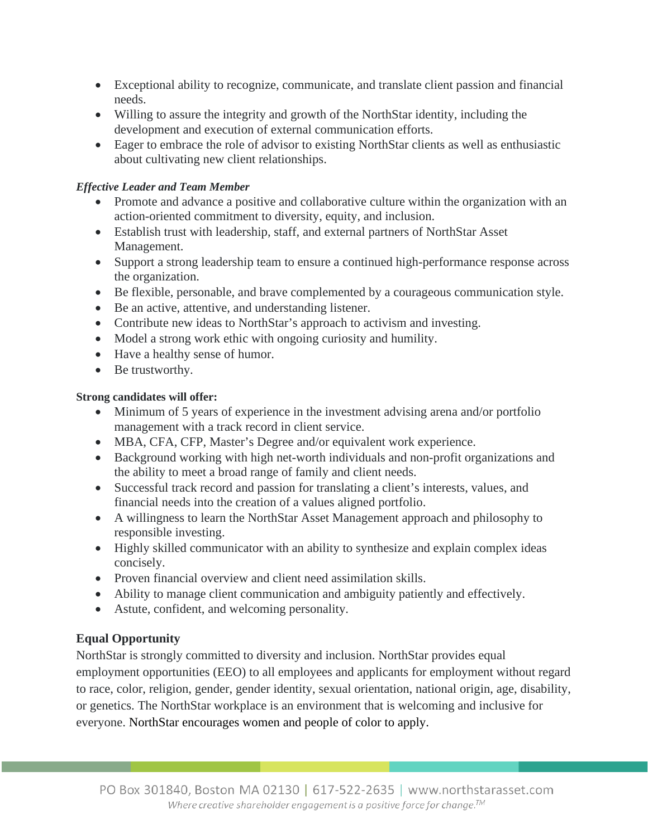- Exceptional ability to recognize, communicate, and translate client passion and financial needs.
- Willing to assure the integrity and growth of the NorthStar identity, including the development and execution of external communication efforts.
- Eager to embrace the role of advisor to existing NorthStar clients as well as enthusiastic about cultivating new client relationships.

# *Effective Leader and Team Member*

- Promote and advance a positive and collaborative culture within the organization with an action-oriented commitment to diversity, equity, and inclusion.
- Establish trust with leadership, staff, and external partners of NorthStar Asset Management.
- Support a strong leadership team to ensure a continued high-performance response across the organization.
- Be flexible, personable, and brave complemented by a courageous communication style.
- Be an active, attentive, and understanding listener.
- Contribute new ideas to NorthStar's approach to activism and investing.
- Model a strong work ethic with ongoing curiosity and humility.
- Have a healthy sense of humor.
- Be trustworthy.

## **Strong candidates will offer:**

- Minimum of 5 years of experience in the investment advising arena and/or portfolio management with a track record in client service.
- MBA, CFA, CFP, Master's Degree and/or equivalent work experience.
- Background working with high net-worth individuals and non-profit organizations and the ability to meet a broad range of family and client needs.
- Successful track record and passion for translating a client's interests, values, and financial needs into the creation of a values aligned portfolio.
- A willingness to learn the NorthStar Asset Management approach and philosophy to responsible investing.
- Highly skilled communicator with an ability to synthesize and explain complex ideas concisely.
- Proven financial overview and client need assimilation skills.
- Ability to manage client communication and ambiguity patiently and effectively.
- Astute, confident, and welcoming personality.

# **Equal Opportunity**

NorthStar is strongly committed to diversity and inclusion. NorthStar provides equal employment opportunities (EEO) to all employees and applicants for employment without regard to race, color, religion, gender, gender identity, sexual orientation, national origin, age, disability, or genetics. The NorthStar workplace is an environment that is welcoming and inclusive for everyone. NorthStar encourages women and people of color to apply.